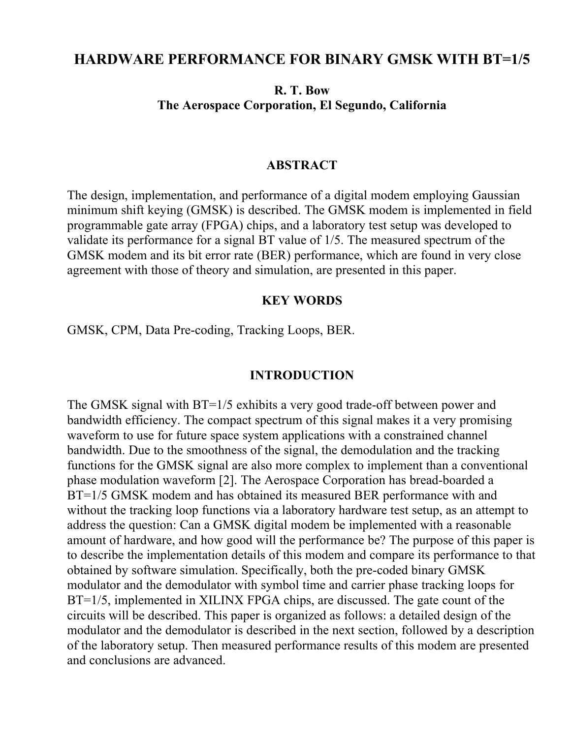# **HARDWARE PERFORMANCE FOR BINARY GMSK WITH BT=1/5**

### **R. T. Bow The Aerospace Corporation, El Segundo, California**

### **ABSTRACT**

The design, implementation, and performance of a digital modem employing Gaussian minimum shift keying (GMSK) is described. The GMSK modem is implemented in field programmable gate array (FPGA) chips, and a laboratory test setup was developed to validate its performance for a signal BT value of 1/5. The measured spectrum of the GMSK modem and its bit error rate (BER) performance, which are found in very close agreement with those of theory and simulation, are presented in this paper.

#### **KEY WORDS**

GMSK, CPM, Data Pre-coding, Tracking Loops, BER.

#### **INTRODUCTION**

The GMSK signal with BT=1/5 exhibits a very good trade-off between power and bandwidth efficiency. The compact spectrum of this signal makes it a very promising waveform to use for future space system applications with a constrained channel bandwidth. Due to the smoothness of the signal, the demodulation and the tracking functions for the GMSK signal are also more complex to implement than a conventional phase modulation waveform [2]. The Aerospace Corporation has bread-boarded a BT=1/5 GMSK modem and has obtained its measured BER performance with and without the tracking loop functions via a laboratory hardware test setup, as an attempt to address the question: Can a GMSK digital modem be implemented with a reasonable amount of hardware, and how good will the performance be? The purpose of this paper is to describe the implementation details of this modem and compare its performance to that obtained by software simulation. Specifically, both the pre-coded binary GMSK modulator and the demodulator with symbol time and carrier phase tracking loops for BT=1/5, implemented in XILINX FPGA chips, are discussed. The gate count of the circuits will be described. This paper is organized as follows: a detailed design of the modulator and the demodulator is described in the next section, followed by a description of the laboratory setup. Then measured performance results of this modem are presented and conclusions are advanced.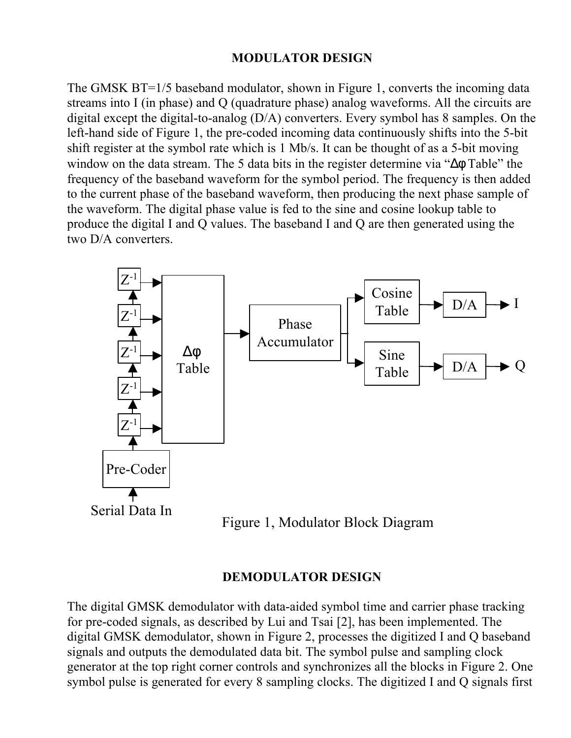## **MODULATOR DESIGN**

The GMSK BT=1/5 baseband modulator, shown in Figure 1, converts the incoming data streams into I (in phase) and Q (quadrature phase) analog waveforms. All the circuits are digital except the digital-to-analog (D/A) converters. Every symbol has 8 samples. On the left-hand side of Figure 1, the pre-coded incoming data continuously shifts into the 5-bit shift register at the symbol rate which is 1 Mb/s. It can be thought of as a 5-bit moving window on the data stream. The 5 data bits in the register determine via "Δφ Table" the frequency of the baseband waveform for the symbol period. The frequency is then added to the current phase of the baseband waveform, then producing the next phase sample of the waveform. The digital phase value is fed to the sine and cosine lookup table to produce the digital I and Q values. The baseband I and Q are then generated using the two D/A converters.



Figure 1, Modulator Block Diagram

### **DEMODULATOR DESIGN**

The digital GMSK demodulator with data-aided symbol time and carrier phase tracking for pre-coded signals, as described by Lui and Tsai [2], has been implemented. The digital GMSK demodulator, shown in Figure 2, processes the digitized I and Q baseband signals and outputs the demodulated data bit. The symbol pulse and sampling clock generator at the top right corner controls and synchronizes all the blocks in Figure 2. One symbol pulse is generated for every 8 sampling clocks. The digitized I and Q signals first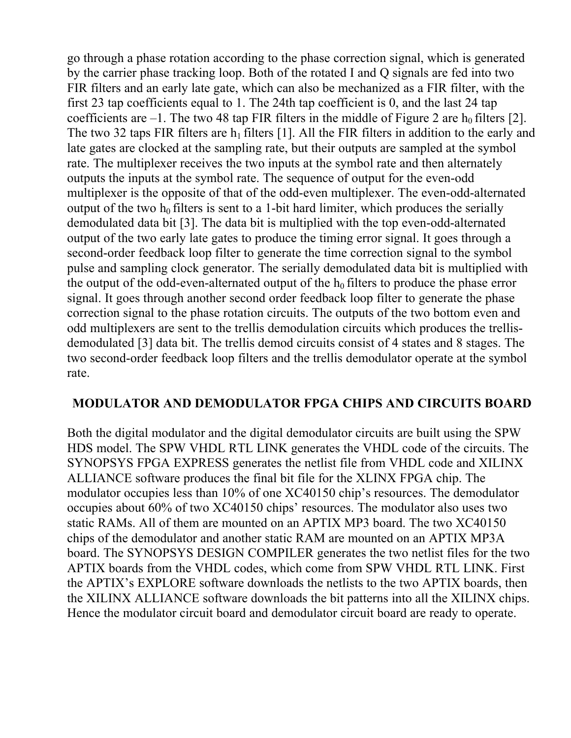go through a phase rotation according to the phase correction signal, which is generated by the carrier phase tracking loop. Both of the rotated I and Q signals are fed into two FIR filters and an early late gate, which can also be mechanized as a FIR filter, with the first 23 tap coefficients equal to 1. The 24th tap coefficient is 0, and the last 24 tap coefficients are  $-1$ . The two 48 tap FIR filters in the middle of Figure 2 are  $h_0$  filters [2]. The two 32 taps FIR filters are  $h_1$  filters [1]. All the FIR filters in addition to the early and late gates are clocked at the sampling rate, but their outputs are sampled at the symbol rate. The multiplexer receives the two inputs at the symbol rate and then alternately outputs the inputs at the symbol rate. The sequence of output for the even-odd multiplexer is the opposite of that of the odd-even multiplexer. The even-odd-alternated output of the two  $h_0$  filters is sent to a 1-bit hard limiter, which produces the serially demodulated data bit [3]. The data bit is multiplied with the top even-odd-alternated output of the two early late gates to produce the timing error signal. It goes through a second-order feedback loop filter to generate the time correction signal to the symbol pulse and sampling clock generator. The serially demodulated data bit is multiplied with the output of the odd-even-alternated output of the  $h_0$  filters to produce the phase error signal. It goes through another second order feedback loop filter to generate the phase correction signal to the phase rotation circuits. The outputs of the two bottom even and odd multiplexers are sent to the trellis demodulation circuits which produces the trellisdemodulated [3] data bit. The trellis demod circuits consist of 4 states and 8 stages. The two second-order feedback loop filters and the trellis demodulator operate at the symbol rate.

## **MODULATOR AND DEMODULATOR FPGA CHIPS AND CIRCUITS BOARD**

Both the digital modulator and the digital demodulator circuits are built using the SPW HDS model. The SPW VHDL RTL LINK generates the VHDL code of the circuits. The SYNOPSYS FPGA EXPRESS generates the netlist file from VHDL code and XILINX ALLIANCE software produces the final bit file for the XLINX FPGA chip. The modulator occupies less than 10% of one XC40150 chip's resources. The demodulator occupies about 60% of two XC40150 chips' resources. The modulator also uses two static RAMs. All of them are mounted on an APTIX MP3 board. The two XC40150 chips of the demodulator and another static RAM are mounted on an APTIX MP3A board. The SYNOPSYS DESIGN COMPILER generates the two netlist files for the two APTIX boards from the VHDL codes, which come from SPW VHDL RTL LINK. First the APTIX's EXPLORE software downloads the netlists to the two APTIX boards, then the XILINX ALLIANCE software downloads the bit patterns into all the XILINX chips. Hence the modulator circuit board and demodulator circuit board are ready to operate.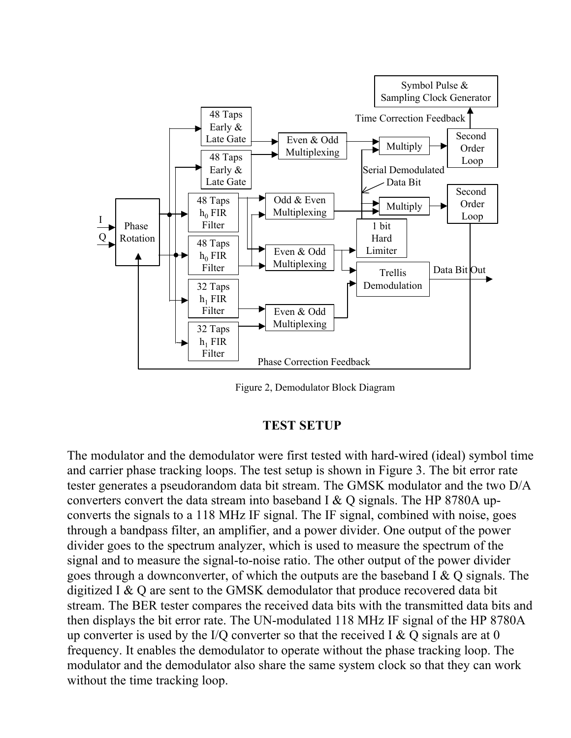

Figure 2, Demodulator Block Diagram

### **TEST SETUP**

The modulator and the demodulator were first tested with hard-wired (ideal) symbol time and carrier phase tracking loops. The test setup is shown in Figure 3. The bit error rate tester generates a pseudorandom data bit stream. The GMSK modulator and the two D/A converters convert the data stream into baseband I & Q signals. The HP 8780A upconverts the signals to a 118 MHz IF signal. The IF signal, combined with noise, goes through a bandpass filter, an amplifier, and a power divider. One output of the power divider goes to the spectrum analyzer, which is used to measure the spectrum of the signal and to measure the signal-to-noise ratio. The other output of the power divider goes through a downconverter, of which the outputs are the baseband I & Q signals. The digitized I & Q are sent to the GMSK demodulator that produce recovered data bit stream. The BER tester compares the received data bits with the transmitted data bits and then displays the bit error rate. The UN-modulated 118 MHz IF signal of the HP 8780A up converter is used by the I/Q converter so that the received I & Q signals are at 0 frequency. It enables the demodulator to operate without the phase tracking loop. The modulator and the demodulator also share the same system clock so that they can work without the time tracking loop.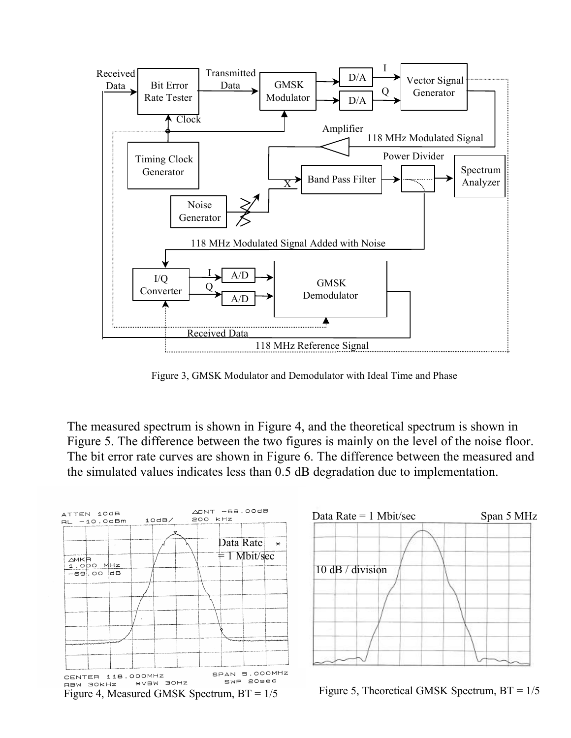

Figure 3, GMSK Modulator and Demodulator with Ideal Time and Phase

The measured spectrum is shown in Figure 4, and the theoretical spectrum is shown in Figure 5. The difference between the two figures is mainly on the level of the noise floor. The bit error rate curves are shown in Figure 6. The difference between the measured and the simulated values indicates less than 0.5 dB degradation due to implementation.





Figure 5, Theoretical GMSK Spectrum,  $BT = 1/5$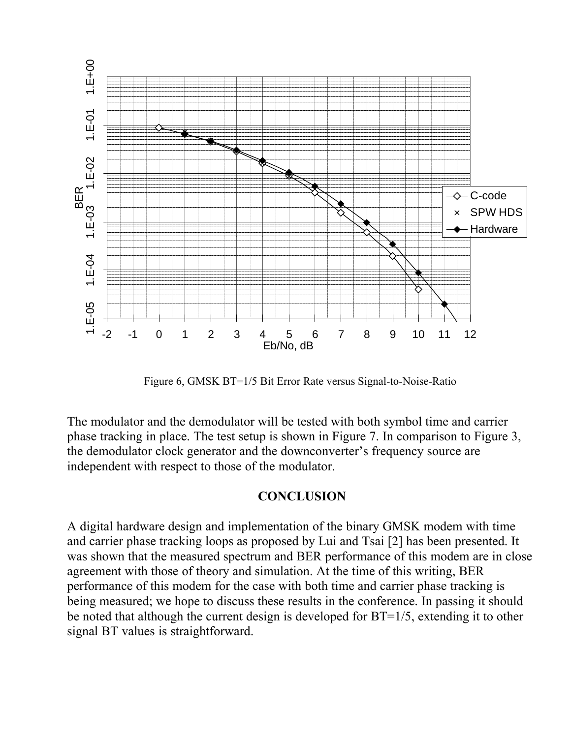

Figure 6, GMSK BT=1/5 Bit Error Rate versus Signal-to-Noise-Ratio

The modulator and the demodulator will be tested with both symbol time and carrier phase tracking in place. The test setup is shown in Figure 7. In comparison to Figure 3, the demodulator clock generator and the downconverter's frequency source are independent with respect to those of the modulator.

## **CONCLUSION**

A digital hardware design and implementation of the binary GMSK modem with time and carrier phase tracking loops as proposed by Lui and Tsai [2] has been presented. It was shown that the measured spectrum and BER performance of this modem are in close agreement with those of theory and simulation. At the time of this writing, BER performance of this modem for the case with both time and carrier phase tracking is being measured; we hope to discuss these results in the conference. In passing it should be noted that although the current design is developed for BT=1/5, extending it to other signal BT values is straightforward.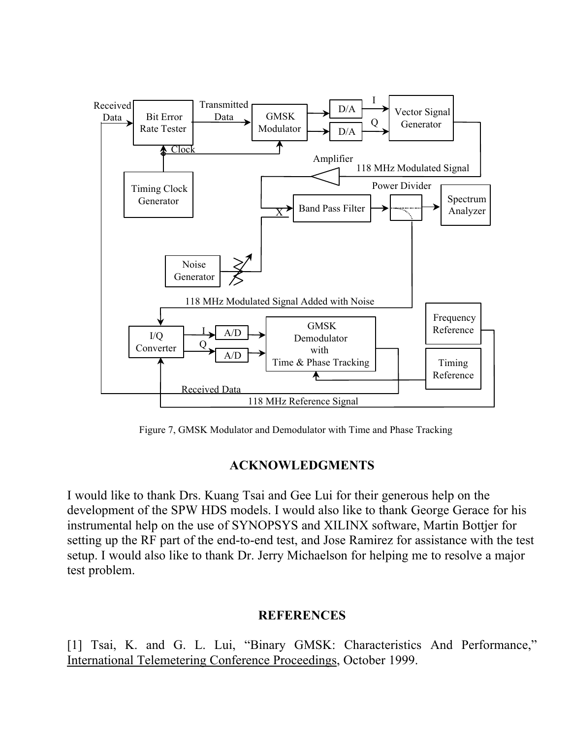

Figure 7, GMSK Modulator and Demodulator with Time and Phase Tracking

# **ACKNOWLEDGMENTS**

I would like to thank Drs. Kuang Tsai and Gee Lui for their generous help on the development of the SPW HDS models. I would also like to thank George Gerace for his instrumental help on the use of SYNOPSYS and XILINX software, Martin Bottjer for setting up the RF part of the end-to-end test, and Jose Ramirez for assistance with the test setup. I would also like to thank Dr. Jerry Michaelson for helping me to resolve a major test problem.

# **REFERENCES**

[1] Tsai, K. and G. L. Lui, "Binary GMSK: Characteristics And Performance," International Telemetering Conference Proceedings, October 1999.